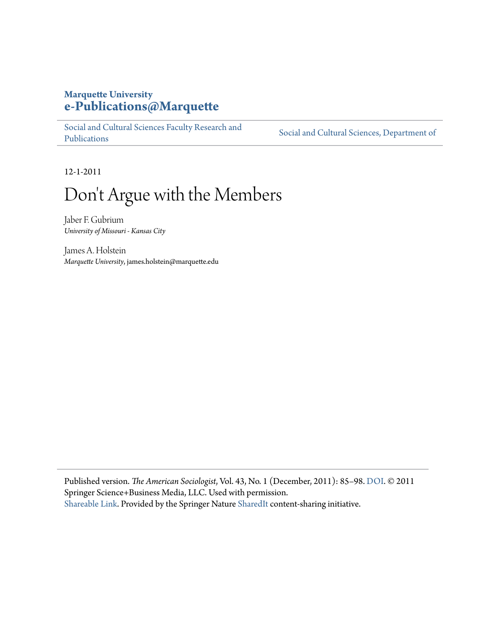## **Marquette University [e-Publications@Marquette](https://epublications.marquette.edu)**

[Social and Cultural Sciences Faculty Research and](https://epublications.marquette.edu/socs_fac) [Publications](https://epublications.marquette.edu/socs_fac)

[Social and Cultural Sciences, Department of](https://epublications.marquette.edu/socs)

12-1-2011

# Don 't Argue with the Members

Jaber F. Gubrium *University of Missouri - Kansas City*

James A. Holstein *Marquette University*, james.holstein@marquette.edu

Published version. *The American Sociologist*, Vol. 43, No. 1 (December, 2011): 85–98. [DOI.](http://dx.doi.org/10.1007/s12108-011-9145-y) © 2011 Springer Science+Business Media, LLC. Used with permission. [Shareable Link.](https://rdcu.be/3BzH) Provided by the Springer Nature [SharedIt](https://www.springernature.com/sharedit) content-sharing initiative.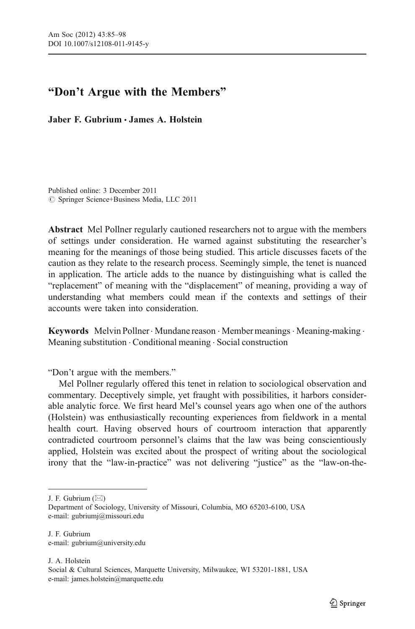### "Don't Argue with the Members"

Jaber F. Gubrium & James A. Holstein

Published online: 3 December 2011  $\oslash$  Springer Science+Business Media, LLC 2011

Abstract Mel Pollner regularly cautioned researchers not to argue with the members of settings under consideration. He warned against substituting the researcher's meaning for the meanings of those being studied. This article discusses facets of the caution as they relate to the research process. Seemingly simple, the tenet is nuanced in application. The article adds to the nuance by distinguishing what is called the "replacement" of meaning with the "displacement" of meaning, providing a way of understanding what members could mean if the contexts and settings of their accounts were taken into consideration.

Keywords Melvin Pollner. Mundane reason . Member meanings . Meaning-making . Meaning substitution . Conditional meaning . Social construction

"Don't argue with the members."

Mel Pollner regularly offered this tenet in relation to sociological observation and commentary. Deceptively simple, yet fraught with possibilities, it harbors considerable analytic force. We first heard Mel's counsel years ago when one of the authors (Holstein) was enthusiastically recounting experiences from fieldwork in a mental health court. Having observed hours of courtroom interaction that apparently contradicted courtroom personnel's claims that the law was being conscientiously applied, Holstein was excited about the prospect of writing about the sociological irony that the "law-in-practice" was not delivering "justice" as the "law-on-the-

J. F. Gubrium  $(\boxtimes)$ 

J. F. Gubrium e-mail: gubrium@university.edu

J. A. Holstein Social & Cultural Sciences, Marquette University, Milwaukee, WI 53201-1881, USA e-mail: james.holstein@marquette.edu

Department of Sociology, University of Missouri, Columbia, MO 65203-6100, USA e-mail: gubriumj@missouri.edu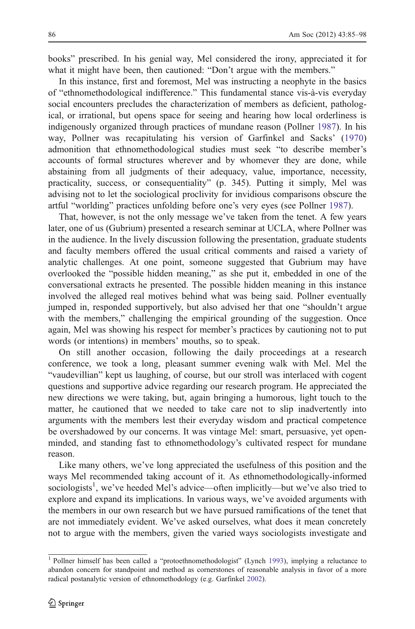books" prescribed. In his genial way, Mel considered the irony, appreciated it for what it might have been, then cautioned: "Don't argue with the members."

In this instance, first and foremost, Mel was instructing a neophyte in the basics of "ethnomethodological indifference." This fundamental stance vis-à-vis everyday social encounters precludes the characterization of members as deficient, pathological, or irrational, but opens space for seeing and hearing how local orderliness is indigenously organized through practices of mundane reason (Pollner [1987](#page-14-0)). In his way, Pollner was recapitulating his version of Garfinkel and Sacks' ([1970](#page-14-0)) admonition that ethnomethodological studies must seek "to describe member's accounts of formal structures wherever and by whomever they are done, while abstaining from all judgments of their adequacy, value, importance, necessity, practicality, success, or consequentiality" (p. 345). Putting it simply, Mel was advising not to let the sociological proclivity for invidious comparisons obscure the artful "worlding" practices unfolding before one's very eyes (see Pollner [1987\)](#page-14-0).

That, however, is not the only message we've taken from the tenet. A few years later, one of us (Gubrium) presented a research seminar at UCLA, where Pollner was in the audience. In the lively discussion following the presentation, graduate students and faculty members offered the usual critical comments and raised a variety of analytic challenges. At one point, someone suggested that Gubrium may have overlooked the "possible hidden meaning," as she put it, embedded in one of the conversational extracts he presented. The possible hidden meaning in this instance involved the alleged real motives behind what was being said. Pollner eventually jumped in, responded supportively, but also advised her that one "shouldn't argue with the members," challenging the empirical grounding of the suggestion. Once again, Mel was showing his respect for member's practices by cautioning not to put words (or intentions) in members' mouths, so to speak.

On still another occasion, following the daily proceedings at a research conference, we took a long, pleasant summer evening walk with Mel. Mel the "vaudevillian" kept us laughing, of course, but our stroll was interlaced with cogent questions and supportive advice regarding our research program. He appreciated the new directions we were taking, but, again bringing a humorous, light touch to the matter, he cautioned that we needed to take care not to slip inadvertently into arguments with the members lest their everyday wisdom and practical competence be overshadowed by our concerns. It was vintage Mel: smart, persuasive, yet openminded, and standing fast to ethnomethodology's cultivated respect for mundane reason.

Like many others, we've long appreciated the usefulness of this position and the ways Mel recommended taking account of it. As ethnomethodologically-informed sociologists<sup>1</sup>, we've heeded Mel's advice—often implicitly—but we've also tried to explore and expand its implications. In various ways, we've avoided arguments with the members in our own research but we have pursued ramifications of the tenet that are not immediately evident. We've asked ourselves, what does it mean concretely not to argue with the members, given the varied ways sociologists investigate and

<sup>&</sup>lt;sup>1</sup> Pollner himself has been called a "protoethnomethodologist" (Lynch [1993\)](#page-14-0), implying a reluctance to abandon concern for standpoint and method as cornerstones of reasonable analysis in favor of a more radical postanalytic version of ethnomethodology (e.g. Garfinkel [2002\)](#page-14-0).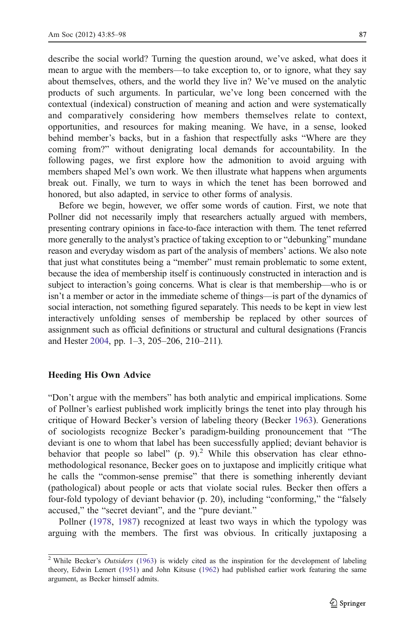describe the social world? Turning the question around, we've asked, what does it mean to argue with the members—to take exception to, or to ignore, what they say about themselves, others, and the world they live in? We've mused on the analytic products of such arguments. In particular, we've long been concerned with the contextual (indexical) construction of meaning and action and were systematically and comparatively considering how members themselves relate to context, opportunities, and resources for making meaning. We have, in a sense, looked behind member's backs, but in a fashion that respectfully asks "Where are they coming from?" without denigrating local demands for accountability. In the following pages, we first explore how the admonition to avoid arguing with members shaped Mel's own work. We then illustrate what happens when arguments break out. Finally, we turn to ways in which the tenet has been borrowed and honored, but also adapted, in service to other forms of analysis.

Before we begin, however, we offer some words of caution. First, we note that Pollner did not necessarily imply that researchers actually argued with members, presenting contrary opinions in face-to-face interaction with them. The tenet referred more generally to the analyst's practice of taking exception to or "debunking" mundane reason and everyday wisdom as part of the analysis of members' actions. We also note that just what constitutes being a "member" must remain problematic to some extent, because the idea of membership itself is continuously constructed in interaction and is subject to interaction's going concerns. What is clear is that membership—who is or isn't a member or actor in the immediate scheme of things—is part of the dynamics of social interaction, not something figured separately. This needs to be kept in view lest interactively unfolding senses of membership be replaced by other sources of assignment such as official definitions or structural and cultural designations (Francis and Hester [2004](#page-14-0), pp. 1–3, 205–206, 210–211).

#### Heeding His Own Advice

"Don't argue with the members" has both analytic and empirical implications. Some of Pollner's earliest published work implicitly brings the tenet into play through his critique of Howard Becker's version of labeling theory (Becker [1963\)](#page-14-0). Generations of sociologists recognize Becker's paradigm-building pronouncement that "The deviant is one to whom that label has been successfully applied; deviant behavior is behavior that people so label" (p. 9).<sup>2</sup> While this observation has clear ethnomethodological resonance, Becker goes on to juxtapose and implicitly critique what he calls the "common-sense premise" that there is something inherently deviant (pathological) about people or acts that violate social rules. Becker then offers a four-fold typology of deviant behavior (p. 20), including "conforming," the "falsely accused," the "secret deviant", and the "pure deviant."

Pollner [\(1978](#page-14-0), [1987\)](#page-14-0) recognized at least two ways in which the typology was arguing with the members. The first was obvious. In critically juxtaposing a

 $\sqrt{2}$  While Becker's *Outsiders* [\(1963](#page-14-0)) is widely cited as the inspiration for the development of labeling theory, Edwin Lemert ([1951\)](#page-14-0) and John Kitsuse ([1962](#page-14-0)) had published earlier work featuring the same argument, as Becker himself admits.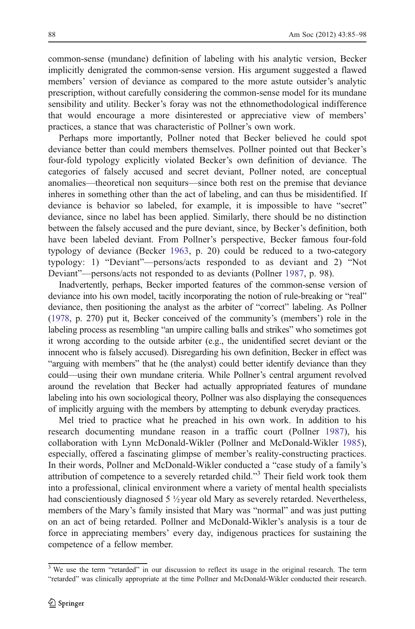common-sense (mundane) definition of labeling with his analytic version, Becker implicitly denigrated the common-sense version. His argument suggested a flawed members' version of deviance as compared to the more astute outsider's analytic prescription, without carefully considering the common-sense model for its mundane sensibility and utility. Becker's foray was not the ethnomethodological indifference that would encourage a more disinterested or appreciative view of members' practices, a stance that was characteristic of Pollner's own work.

Perhaps more importantly, Pollner noted that Becker believed he could spot deviance better than could members themselves. Pollner pointed out that Becker's four-fold typology explicitly violated Becker's own definition of deviance. The categories of falsely accused and secret deviant, Pollner noted, are conceptual anomalies—theoretical non sequiturs—since both rest on the premise that deviance inheres in something other than the act of labeling, and can thus be misidentified. If deviance is behavior so labeled, for example, it is impossible to have "secret" deviance, since no label has been applied. Similarly, there should be no distinction between the falsely accused and the pure deviant, since, by Becker's definition, both have been labeled deviant. From Pollner's perspective, Becker famous four-fold typology of deviance (Becker [1963](#page-14-0), p. 20) could be reduced to a two-category typology: 1) "Deviant"—persons/acts responded to as deviant and 2) "Not Deviant"—persons/acts not responded to as deviants (Pollner [1987,](#page-14-0) p. 98).

Inadvertently, perhaps, Becker imported features of the common-sense version of deviance into his own model, tacitly incorporating the notion of rule-breaking or "real" deviance, then positioning the analyst as the arbiter of "correct" labeling. As Pollner [\(1978](#page-14-0), p. 270) put it, Becker conceived of the community's (members') role in the labeling process as resembling "an umpire calling balls and strikes" who sometimes got it wrong according to the outside arbiter (e.g., the unidentified secret deviant or the innocent who is falsely accused). Disregarding his own definition, Becker in effect was "arguing with members" that he (the analyst) could better identify deviance than they could—using their own mundane criteria. While Pollner's central argument revolved around the revelation that Becker had actually appropriated features of mundane labeling into his own sociological theory, Pollner was also displaying the consequences of implicitly arguing with the members by attempting to debunk everyday practices.

Mel tried to practice what he preached in his own work. In addition to his research documenting mundane reason in a traffic court (Pollner [1987\)](#page-14-0), his collaboration with Lynn McDonald-Wikler (Pollner and McDonald-Wikler [1985\)](#page-14-0), especially, offered a fascinating glimpse of member's reality-constructing practices. In their words, Pollner and McDonald-Wikler conducted a "case study of a family's attribution of competence to a severely retarded child."<sup>3</sup> Their field work took them into a professional, clinical environment where a variety of mental health specialists had conscientiously diagnosed  $5\frac{1}{2}$ year old Mary as severely retarded. Nevertheless, members of the Mary's family insisted that Mary was "normal" and was just putting on an act of being retarded. Pollner and McDonald-Wikler's analysis is a tour de force in appreciating members' every day, indigenous practices for sustaining the competence of a fellow member.

<sup>&</sup>lt;sup>3</sup> We use the term "retarded" in our discussion to reflect its usage in the original research. The term "retarded" was clinically appropriate at the time Pollner and McDonald-Wikler conducted their research.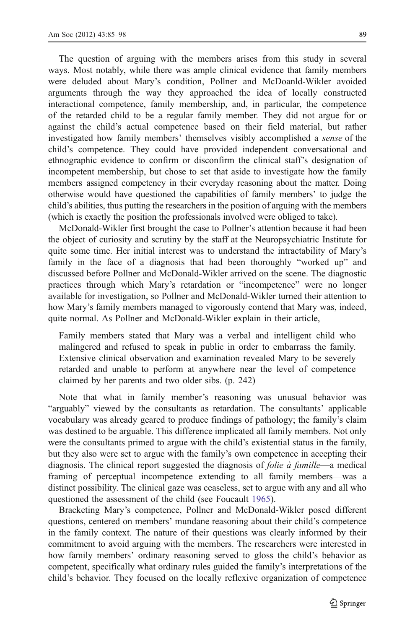The question of arguing with the members arises from this study in several ways. Most notably, while there was ample clinical evidence that family members were deluded about Mary's condition, Pollner and McDoanld-Wikler avoided arguments through the way they approached the idea of locally constructed interactional competence, family membership, and, in particular, the competence of the retarded child to be a regular family member. They did not argue for or against the child's actual competence based on their field material, but rather investigated how family members' themselves visibly accomplished a sense of the child's competence. They could have provided independent conversational and ethnographic evidence to confirm or disconfirm the clinical staff's designation of incompetent membership, but chose to set that aside to investigate how the family members assigned competency in their everyday reasoning about the matter. Doing otherwise would have questioned the capabilities of family members' to judge the child's abilities, thus putting the researchers in the position of arguing with the members (which is exactly the position the professionals involved were obliged to take).

McDonald-Wikler first brought the case to Pollner's attention because it had been the object of curiosity and scrutiny by the staff at the Neuropsychiatric Institute for quite some time. Her initial interest was to understand the intractability of Mary's family in the face of a diagnosis that had been thoroughly "worked up" and discussed before Pollner and McDonald-Wikler arrived on the scene. The diagnostic practices through which Mary's retardation or "incompetence" were no longer available for investigation, so Pollner and McDonald-Wikler turned their attention to how Mary's family members managed to vigorously contend that Mary was, indeed, quite normal. As Pollner and McDonald-Wikler explain in their article,

Family members stated that Mary was a verbal and intelligent child who malingered and refused to speak in public in order to embarrass the family. Extensive clinical observation and examination revealed Mary to be severely retarded and unable to perform at anywhere near the level of competence claimed by her parents and two older sibs. (p. 242)

Note that what in family member's reasoning was unusual behavior was "arguably" viewed by the consultants as retardation. The consultants' applicable vocabulary was already geared to produce findings of pathology; the family's claim was destined to be arguable. This difference implicated all family members. Not only were the consultants primed to argue with the child's existential status in the family, but they also were set to argue with the family's own competence in accepting their diagnosis. The clinical report suggested the diagnosis of *folie*  $\dot{a}$  *famille*—a medical framing of perceptual incompetence extending to all family members—was a distinct possibility. The clinical gaze was ceaseless, set to argue with any and all who questioned the assessment of the child (see Foucault [1965\)](#page-14-0).

Bracketing Mary's competence, Pollner and McDonald-Wikler posed different questions, centered on members' mundane reasoning about their child's competence in the family context. The nature of their questions was clearly informed by their commitment to avoid arguing with the members. The researchers were interested in how family members' ordinary reasoning served to gloss the child's behavior as competent, specifically what ordinary rules guided the family's interpretations of the child's behavior. They focused on the locally reflexive organization of competence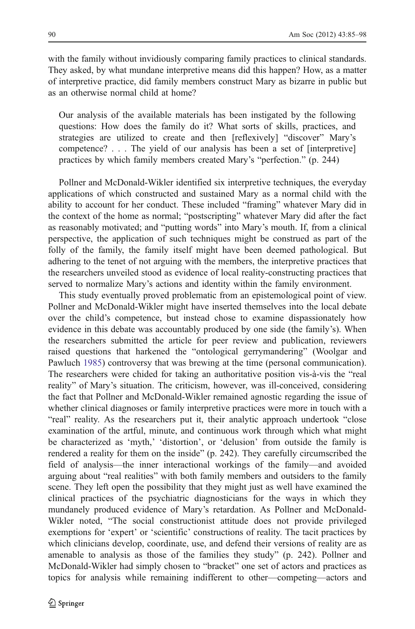with the family without invidiously comparing family practices to clinical standards. They asked, by what mundane interpretive means did this happen? How, as a matter of interpretive practice, did family members construct Mary as bizarre in public but as an otherwise normal child at home?

Our analysis of the available materials has been instigated by the following questions: How does the family do it? What sorts of skills, practices, and strategies are utilized to create and then [reflexively] "discover" Mary's competence? . . . The yield of our analysis has been a set of [interpretive] practices by which family members created Mary's "perfection." (p. 244)

Pollner and McDonald-Wikler identified six interpretive techniques, the everyday applications of which constructed and sustained Mary as a normal child with the ability to account for her conduct. These included "framing" whatever Mary did in the context of the home as normal; "postscripting" whatever Mary did after the fact as reasonably motivated; and "putting words" into Mary's mouth. If, from a clinical perspective, the application of such techniques might be construed as part of the folly of the family, the family itself might have been deemed pathological. But adhering to the tenet of not arguing with the members, the interpretive practices that the researchers unveiled stood as evidence of local reality-constructing practices that served to normalize Mary's actions and identity within the family environment.

This study eventually proved problematic from an epistemological point of view. Pollner and McDonald-Wikler might have inserted themselves into the local debate over the child's competence, but instead chose to examine dispassionately how evidence in this debate was accountably produced by one side (the family's). When the researchers submitted the article for peer review and publication, reviewers raised questions that harkened the "ontological gerrymandering" (Woolgar and Pawluch [1985](#page-14-0)) controversy that was brewing at the time (personal communication). The researchers were chided for taking an authoritative position vis-à-vis the "real reality" of Mary's situation. The criticism, however, was ill-conceived, considering the fact that Pollner and McDonald-Wikler remained agnostic regarding the issue of whether clinical diagnoses or family interpretive practices were more in touch with a "real" reality. As the researchers put it, their analytic approach undertook "close examination of the artful, minute, and continuous work through which what might be characterized as 'myth,' 'distortion', or 'delusion' from outside the family is rendered a reality for them on the inside" (p. 242). They carefully circumscribed the field of analysis—the inner interactional workings of the family—and avoided arguing about "real realities" with both family members and outsiders to the family scene. They left open the possibility that they might just as well have examined the clinical practices of the psychiatric diagnosticians for the ways in which they mundanely produced evidence of Mary's retardation. As Pollner and McDonald-Wikler noted, "The social constructionist attitude does not provide privileged exemptions for 'expert' or 'scientific' constructions of reality. The tacit practices by which clinicians develop, coordinate, use, and defend their versions of reality are as amenable to analysis as those of the families they study" (p. 242). Pollner and McDonald-Wikler had simply chosen to "bracket" one set of actors and practices as topics for analysis while remaining indifferent to other—competing—actors and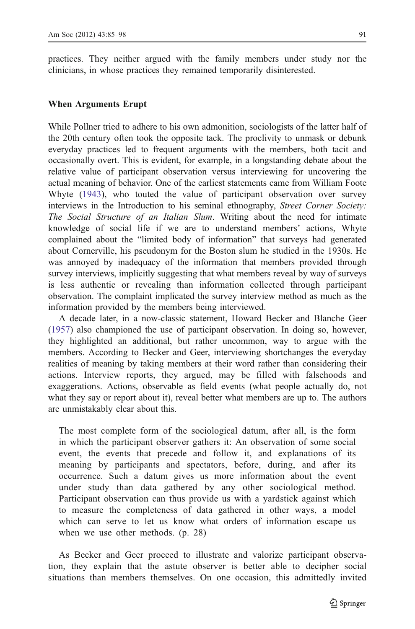#### When Arguments Erupt

While Pollner tried to adhere to his own admonition, sociologists of the latter half of the 20th century often took the opposite tack. The proclivity to unmask or debunk everyday practices led to frequent arguments with the members, both tacit and occasionally overt. This is evident, for example, in a longstanding debate about the relative value of participant observation versus interviewing for uncovering the actual meaning of behavior. One of the earliest statements came from William Foote Whyte [\(1943](#page-14-0)), who touted the value of participant observation over survey interviews in the Introduction to his seminal ethnography, *Street Corner Society*: The Social Structure of an Italian Slum. Writing about the need for intimate knowledge of social life if we are to understand members' actions, Whyte complained about the "limited body of information" that surveys had generated about Cornerville, his pseudonym for the Boston slum he studied in the 1930s. He was annoyed by inadequacy of the information that members provided through survey interviews, implicitly suggesting that what members reveal by way of surveys is less authentic or revealing than information collected through participant observation. The complaint implicated the survey interview method as much as the information provided by the members being interviewed.

A decade later, in a now-classic statement, Howard Becker and Blanche Geer [\(1957](#page-13-0)) also championed the use of participant observation. In doing so, however, they highlighted an additional, but rather uncommon, way to argue with the members. According to Becker and Geer, interviewing shortchanges the everyday realities of meaning by taking members at their word rather than considering their actions. Interview reports, they argued, may be filled with falsehoods and exaggerations. Actions, observable as field events (what people actually do, not what they say or report about it), reveal better what members are up to. The authors are unmistakably clear about this.

The most complete form of the sociological datum, after all, is the form in which the participant observer gathers it: An observation of some social event, the events that precede and follow it, and explanations of its meaning by participants and spectators, before, during, and after its occurrence. Such a datum gives us more information about the event under study than data gathered by any other sociological method. Participant observation can thus provide us with a yardstick against which to measure the completeness of data gathered in other ways, a model which can serve to let us know what orders of information escape us when we use other methods. (p. 28)

As Becker and Geer proceed to illustrate and valorize participant observation, they explain that the astute observer is better able to decipher social situations than members themselves. On one occasion, this admittedly invited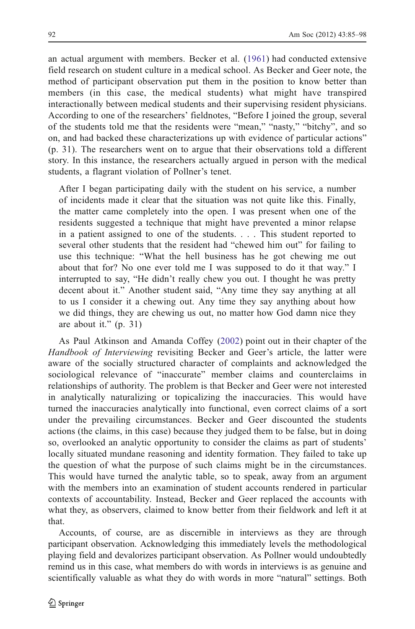an actual argument with members. Becker et al. ([1961\)](#page-14-0) had conducted extensive field research on student culture in a medical school. As Becker and Geer note, the method of participant observation put them in the position to know better than members (in this case, the medical students) what might have transpired interactionally between medical students and their supervising resident physicians. According to one of the researchers' fieldnotes, "Before I joined the group, several of the students told me that the residents were "mean," "nasty," "bitchy", and so on, and had backed these characterizations up with evidence of particular actions" (p. 31). The researchers went on to argue that their observations told a different story. In this instance, the researchers actually argued in person with the medical students, a flagrant violation of Pollner's tenet.

After I began participating daily with the student on his service, a number of incidents made it clear that the situation was not quite like this. Finally, the matter came completely into the open. I was present when one of the residents suggested a technique that might have prevented a minor relapse in a patient assigned to one of the students. . . . This student reported to several other students that the resident had "chewed him out" for failing to use this technique: "What the hell business has he got chewing me out about that for? No one ever told me I was supposed to do it that way." I interrupted to say, "He didn't really chew you out. I thought he was pretty decent about it." Another student said, "Any time they say anything at all to us I consider it a chewing out. Any time they say anything about how we did things, they are chewing us out, no matter how God damn nice they are about it." (p. 31)

As Paul Atkinson and Amanda Coffey ([2002\)](#page-13-0) point out in their chapter of the Handbook of Interviewing revisiting Becker and Geer's article, the latter were aware of the socially structured character of complaints and acknowledged the sociological relevance of "inaccurate" member claims and counterclaims in relationships of authority. The problem is that Becker and Geer were not interested in analytically naturalizing or topicalizing the inaccuracies. This would have turned the inaccuracies analytically into functional, even correct claims of a sort under the prevailing circumstances. Becker and Geer discounted the students actions (the claims, in this case) because they judged them to be false, but in doing so, overlooked an analytic opportunity to consider the claims as part of students' locally situated mundane reasoning and identity formation. They failed to take up the question of what the purpose of such claims might be in the circumstances. This would have turned the analytic table, so to speak, away from an argument with the members into an examination of student accounts rendered in particular contexts of accountability. Instead, Becker and Geer replaced the accounts with what they, as observers, claimed to know better from their fieldwork and left it at that.

Accounts, of course, are as discernible in interviews as they are through participant observation. Acknowledging this immediately levels the methodological playing field and devalorizes participant observation. As Pollner would undoubtedly remind us in this case, what members do with words in interviews is as genuine and scientifically valuable as what they do with words in more "natural" settings. Both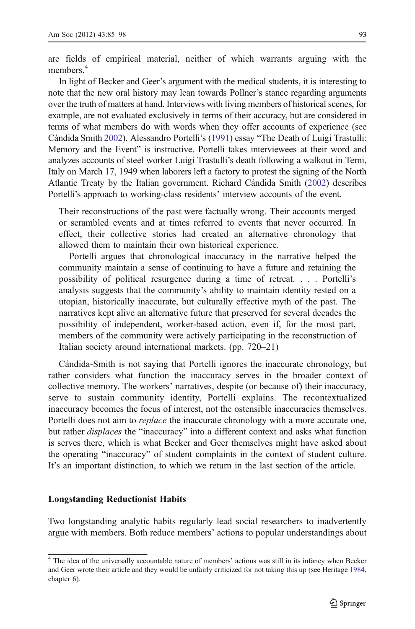are fields of empirical material, neither of which warrants arguing with the members.<sup>4</sup>

In light of Becker and Geer's argument with the medical students, it is interesting to note that the new oral history may lean towards Pollner's stance regarding arguments over the truth of matters at hand. Interviews with living members of historical scenes, for example, are not evaluated exclusively in terms of their accuracy, but are considered in terms of what members do with words when they offer accounts of experience (see Cándida Smith [2002\)](#page-14-0). Alessandro Portelli's ([1991](#page-14-0)) essay "The Death of Luigi Trastulli: Memory and the Event" is instructive. Portelli takes interviewees at their word and analyzes accounts of steel worker Luigi Trastulli's death following a walkout in Terni, Italy on March 17, 1949 when laborers left a factory to protest the signing of the North Atlantic Treaty by the Italian government. Richard Cándida Smith ([2002](#page-14-0)) describes Portelli's approach to working-class residents' interview accounts of the event.

Their reconstructions of the past were factually wrong. Their accounts merged or scrambled events and at times referred to events that never occurred. In effect, their collective stories had created an alternative chronology that allowed them to maintain their own historical experience.

Portelli argues that chronological inaccuracy in the narrative helped the community maintain a sense of continuing to have a future and retaining the possibility of political resurgence during a time of retreat. . . . Portelli's analysis suggests that the community's ability to maintain identity rested on a utopian, historically inaccurate, but culturally effective myth of the past. The narratives kept alive an alternative future that preserved for several decades the possibility of independent, worker-based action, even if, for the most part, members of the community were actively participating in the reconstruction of Italian society around international markets. (pp. 720–21)

Cándida-Smith is not saying that Portelli ignores the inaccurate chronology, but rather considers what function the inaccuracy serves in the broader context of collective memory. The workers' narratives, despite (or because of) their inaccuracy, serve to sustain community identity, Portelli explains. The recontextualized inaccuracy becomes the focus of interest, not the ostensible inaccuracies themselves. Portelli does not aim to *replace* the inaccurate chronology with a more accurate one, but rather displaces the "inaccuracy" into a different context and asks what function is serves there, which is what Becker and Geer themselves might have asked about the operating "inaccuracy" of student complaints in the context of student culture. It's an important distinction, to which we return in the last section of the article.

#### Longstanding Reductionist Habits

Two longstanding analytic habits regularly lead social researchers to inadvertently argue with members. Both reduce members' actions to popular understandings about

<sup>&</sup>lt;sup>4</sup> The idea of the universally accountable nature of members' actions was still in its infancy when Becker and Geer wrote their article and they would be unfairly criticized for not taking this up (see Heritage [1984](#page-14-0), chapter 6).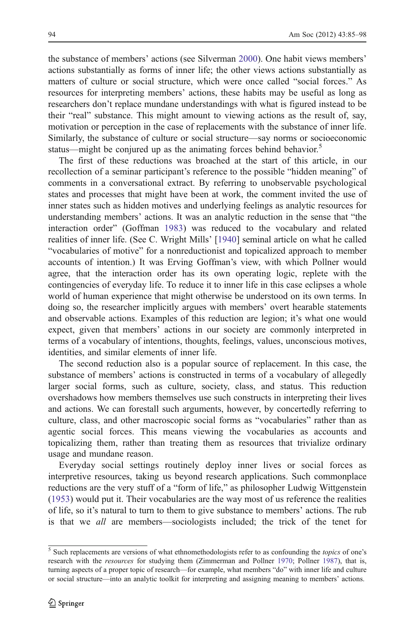the substance of members' actions (see Silverman [2000\)](#page-14-0). One habit views members' actions substantially as forms of inner life; the other views actions substantially as matters of culture or social structure, which were once called "social forces." As resources for interpreting members' actions, these habits may be useful as long as researchers don't replace mundane understandings with what is figured instead to be their "real" substance. This might amount to viewing actions as the result of, say, motivation or perception in the case of replacements with the substance of inner life. Similarly, the substance of culture or social structure—say norms or socioeconomic status—might be conjured up as the animating forces behind behavior.<sup>5</sup>

The first of these reductions was broached at the start of this article, in our recollection of a seminar participant's reference to the possible "hidden meaning" of comments in a conversational extract. By referring to unobservable psychological states and processes that might have been at work, the comment invited the use of inner states such as hidden motives and underlying feelings as analytic resources for understanding members' actions. It was an analytic reduction in the sense that "the interaction order" (Goffman [1983](#page-14-0)) was reduced to the vocabulary and related realities of inner life. (See C. Wright Mills' [[1940\]](#page-14-0) seminal article on what he called "vocabularies of motive" for a nonreductionist and topicalized approach to member accounts of intention.) It was Erving Goffman's view, with which Pollner would agree, that the interaction order has its own operating logic, replete with the contingencies of everyday life. To reduce it to inner life in this case eclipses a whole world of human experience that might otherwise be understood on its own terms. In doing so, the researcher implicitly argues with members' overt hearable statements and observable actions. Examples of this reduction are legion; it's what one would expect, given that members' actions in our society are commonly interpreted in terms of a vocabulary of intentions, thoughts, feelings, values, unconscious motives, identities, and similar elements of inner life.

The second reduction also is a popular source of replacement. In this case, the substance of members' actions is constructed in terms of a vocabulary of allegedly larger social forms, such as culture, society, class, and status. This reduction overshadows how members themselves use such constructs in interpreting their lives and actions. We can forestall such arguments, however, by concertedly referring to culture, class, and other macroscopic social forms as "vocabularies" rather than as agentic social forces. This means viewing the vocabularies as accounts and topicalizing them, rather than treating them as resources that trivialize ordinary usage and mundane reason.

Everyday social settings routinely deploy inner lives or social forces as interpretive resources, taking us beyond research applications. Such commonplace reductions are the very stuff of a "form of life," as philosopher Ludwig Wittgenstein [\(1953](#page-14-0)) would put it. Their vocabularies are the way most of us reference the realities of life, so it's natural to turn to them to give substance to members' actions. The rub is that we all are members—sociologists included; the trick of the tenet for

 $5$  Such replacements are versions of what ethnomethodologists refer to as confounding the topics of one's research with the *resources* for studying them (Zimmerman and Pollner [1970;](#page-14-0) Pollner [1987\)](#page-14-0), that is, turning aspects of a proper topic of research—for example, what members "do" with inner life and culture or social structure—into an analytic toolkit for interpreting and assigning meaning to members' actions.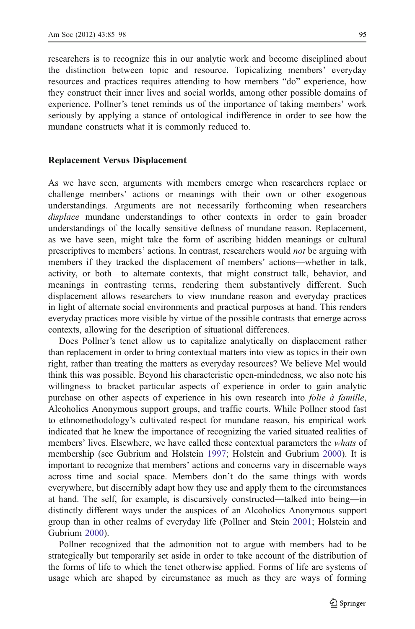researchers is to recognize this in our analytic work and become disciplined about the distinction between topic and resource. Topicalizing members' everyday resources and practices requires attending to how members "do" experience, how they construct their inner lives and social worlds, among other possible domains of experience. Pollner's tenet reminds us of the importance of taking members' work seriously by applying a stance of ontological indifference in order to see how the mundane constructs what it is commonly reduced to.

#### Replacement Versus Displacement

As we have seen, arguments with members emerge when researchers replace or challenge members' actions or meanings with their own or other exogenous understandings. Arguments are not necessarily forthcoming when researchers displace mundane understandings to other contexts in order to gain broader understandings of the locally sensitive deftness of mundane reason. Replacement, as we have seen, might take the form of ascribing hidden meanings or cultural prescriptives to members' actions. In contrast, researchers would not be arguing with members if they tracked the displacement of members' actions—whether in talk, activity, or both—to alternate contexts, that might construct talk, behavior, and meanings in contrasting terms, rendering them substantively different. Such displacement allows researchers to view mundane reason and everyday practices in light of alternate social environments and practical purposes at hand. This renders everyday practices more visible by virtue of the possible contrasts that emerge across contexts, allowing for the description of situational differences.

Does Pollner's tenet allow us to capitalize analytically on displacement rather than replacement in order to bring contextual matters into view as topics in their own right, rather than treating the matters as everyday resources? We believe Mel would think this was possible. Beyond his characteristic open-mindedness, we also note his willingness to bracket particular aspects of experience in order to gain analytic purchase on other aspects of experience in his own research into folie à famille, Alcoholics Anonymous support groups, and traffic courts. While Pollner stood fast to ethnomethodology's cultivated respect for mundane reason, his empirical work indicated that he knew the importance of recognizing the varied situated realities of members' lives. Elsewhere, we have called these contextual parameters the *whats* of membership (see Gubrium and Holstein [1997;](#page-14-0) Holstein and Gubrium [2000](#page-14-0)). It is important to recognize that members' actions and concerns vary in discernable ways across time and social space. Members don't do the same things with words everywhere, but discernibly adapt how they use and apply them to the circumstances at hand. The self, for example, is discursively constructed—talked into being—in distinctly different ways under the auspices of an Alcoholics Anonymous support group than in other realms of everyday life (Pollner and Stein [2001](#page-14-0); Holstein and Gubrium [2000](#page-14-0)).

Pollner recognized that the admonition not to argue with members had to be strategically but temporarily set aside in order to take account of the distribution of the forms of life to which the tenet otherwise applied. Forms of life are systems of usage which are shaped by circumstance as much as they are ways of forming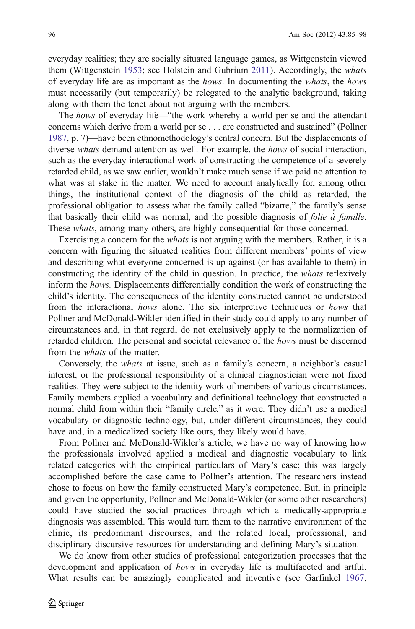everyday realities; they are socially situated language games, as Wittgenstein viewed them (Wittgenstein [1953;](#page-14-0) see Holstein and Gubrium [2011](#page-14-0)). Accordingly, the whats of everyday life are as important as the hows. In documenting the whats, the hows must necessarily (but temporarily) be relegated to the analytic background, taking along with them the tenet about not arguing with the members.

The hows of everyday life—"the work whereby a world per se and the attendant concerns which derive from a world per se . . . are constructed and sustained" (Pollner [1987,](#page-14-0) p. 7)—have been ethnomethodology's central concern. But the displacements of diverse whats demand attention as well. For example, the hows of social interaction, such as the everyday interactional work of constructing the competence of a severely retarded child, as we saw earlier, wouldn't make much sense if we paid no attention to what was at stake in the matter. We need to account analytically for, among other things, the institutional context of the diagnosis of the child as retarded, the professional obligation to assess what the family called "bizarre," the family's sense that basically their child was normal, and the possible diagnosis of folie à famille. These *whats*, among many others, are highly consequential for those concerned.

Exercising a concern for the *whats* is not arguing with the members. Rather, it is a concern with figuring the situated realities from different members' points of view and describing what everyone concerned is up against (or has available to them) in constructing the identity of the child in question. In practice, the whats reflexively inform the hows. Displacements differentially condition the work of constructing the child's identity. The consequences of the identity constructed cannot be understood from the interactional hows alone. The six interpretive techniques or hows that Pollner and McDonald-Wikler identified in their study could apply to any number of circumstances and, in that regard, do not exclusively apply to the normalization of retarded children. The personal and societal relevance of the hows must be discerned from the whats of the matter.

Conversely, the whats at issue, such as a family's concern, a neighbor's casual interest, or the professional responsibility of a clinical diagnostician were not fixed realities. They were subject to the identity work of members of various circumstances. Family members applied a vocabulary and definitional technology that constructed a normal child from within their "family circle," as it were. They didn't use a medical vocabulary or diagnostic technology, but, under different circumstances, they could have and, in a medicalized society like ours, they likely would have.

From Pollner and McDonald-Wikler's article, we have no way of knowing how the professionals involved applied a medical and diagnostic vocabulary to link related categories with the empirical particulars of Mary's case; this was largely accomplished before the case came to Pollner's attention. The researchers instead chose to focus on how the family constructed Mary's competence. But, in principle and given the opportunity, Pollner and McDonald-Wikler (or some other researchers) could have studied the social practices through which a medically-appropriate diagnosis was assembled. This would turn them to the narrative environment of the clinic, its predominant discourses, and the related local, professional, and disciplinary discursive resources for understanding and defining Mary's situation.

We do know from other studies of professional categorization processes that the development and application of *hows* in everyday life is multifaceted and artful. What results can be amazingly complicated and inventive (see Garfinkel [1967,](#page-14-0)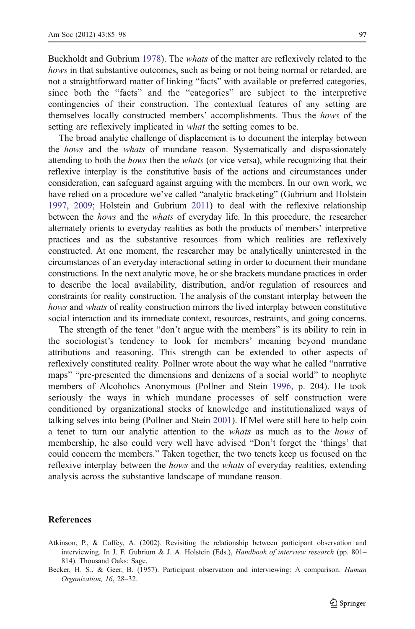<span id="page-13-0"></span>Buckholdt and Gubrium [1978\)](#page-14-0). The whats of the matter are reflexively related to the hows in that substantive outcomes, such as being or not being normal or retarded, are not a straightforward matter of linking "facts" with available or preferred categories, since both the "facts" and the "categories" are subject to the interpretive contingencies of their construction. The contextual features of any setting are themselves locally constructed members' accomplishments. Thus the hows of the setting are reflexively implicated in *what* the setting comes to be.

The broad analytic challenge of displacement is to document the interplay between the hows and the whats of mundane reason. Systematically and dispassionately attending to both the *hows* then the *whats* (or vice versa), while recognizing that their reflexive interplay is the constitutive basis of the actions and circumstances under consideration, can safeguard against arguing with the members. In our own work, we have relied on a procedure we've called "analytic bracketing" (Gubrium and Holstein [1997,](#page-14-0) [2009;](#page-14-0) Holstein and Gubrium [2011](#page-14-0)) to deal with the reflexive relationship between the hows and the whats of everyday life. In this procedure, the researcher alternately orients to everyday realities as both the products of members' interpretive practices and as the substantive resources from which realities are reflexively constructed. At one moment, the researcher may be analytically uninterested in the circumstances of an everyday interactional setting in order to document their mundane constructions. In the next analytic move, he or she brackets mundane practices in order to describe the local availability, distribution, and/or regulation of resources and constraints for reality construction. The analysis of the constant interplay between the hows and whats of reality construction mirrors the lived interplay between constitutive social interaction and its immediate context, resources, restraints, and going concerns.

The strength of the tenet "don't argue with the members" is its ability to rein in the sociologist's tendency to look for members' meaning beyond mundane attributions and reasoning. This strength can be extended to other aspects of reflexively constituted reality. Pollner wrote about the way what he called "narrative maps" "pre-presented the dimensions and denizens of a social world" to neophyte members of Alcoholics Anonymous (Pollner and Stein [1996](#page-14-0), p. 204). He took seriously the ways in which mundane processes of self construction were conditioned by organizational stocks of knowledge and institutionalized ways of talking selves into being (Pollner and Stein [2001\)](#page-14-0). If Mel were still here to help coin a tenet to turn our analytic attention to the whats as much as to the hows of membership, he also could very well have advised "Don't forget the 'things' that could concern the members." Taken together, the two tenets keep us focused on the reflexive interplay between the *hows* and the *whats* of everyday realities, extending analysis across the substantive landscape of mundane reason.

#### References

- Atkinson, P., & Coffey, A. (2002). Revisiting the relationship between participant observation and interviewing. In J. F. Gubrium & J. A. Holstein (Eds.), Handbook of interview research (pp. 801– 814). Thousand Oaks: Sage.
- Becker, H. S., & Geer, B. (1957). Participant observation and interviewing: A comparison. Human Organization, 16, 28–32.